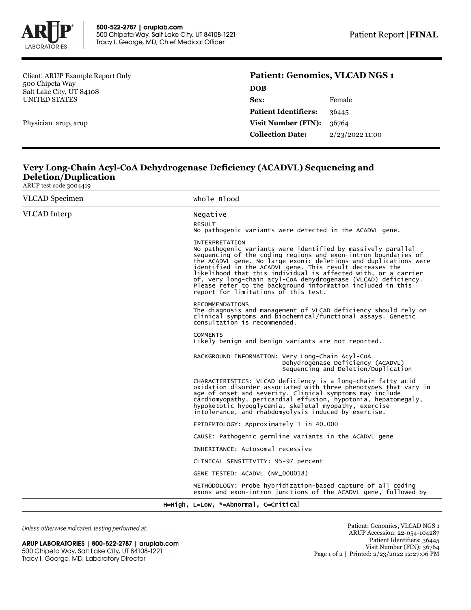

Client: ARUP Example Report Only 500 Chipeta Way Salt Lake City, UT 84108 UNITED STATES

Physician: arup, arup

## **Patient: Genomics, VLCAD NGS 1**

| <b>DOB</b>                  |                 |
|-----------------------------|-----------------|
| Sex:                        | Female          |
| <b>Patient Identifiers:</b> | 36445           |
| Visit Number (FIN):         | 36764           |
| <b>Collection Date:</b>     | 2/23/2022 11:00 |
|                             |                 |

## **Very Long-Chain Acyl-CoA Dehydrogenase Deficiency (ACADVL) Sequencing and Deletion/Duplication** ARUP test code 3004419

| <b>VLCAD</b> Specimen                 | Whole Blood                                                                                                                                                                                                                                                                                                                                                                                                                                                                                                                        |  |  |
|---------------------------------------|------------------------------------------------------------------------------------------------------------------------------------------------------------------------------------------------------------------------------------------------------------------------------------------------------------------------------------------------------------------------------------------------------------------------------------------------------------------------------------------------------------------------------------|--|--|
| <b>VLCAD</b> Interp                   | Negative                                                                                                                                                                                                                                                                                                                                                                                                                                                                                                                           |  |  |
|                                       | <b>RESULT</b><br>No pathogenic variants were detected in the ACADVL gene.                                                                                                                                                                                                                                                                                                                                                                                                                                                          |  |  |
|                                       | <b>INTERPRETATION</b><br>No pathogenic variants were identified by massively parallel<br>sequencing of the coding regions and exon-intron boundaries of<br>the ACADVL gene. No large exonic deletions and duplications were<br>identified in the ACADVL gene. This result decreases the<br>likelihood that this individual is affected with, or a carrier<br>of, very long-chain acyl-CoA dehydrogenase (VLCAD) deficiency.<br>Please refer to the background information included in this<br>report for limitations of this test. |  |  |
|                                       | <b>RECOMMENDATIONS</b><br>The diagnosis and management of VLCAD deficiency should rely on<br>clinical symptoms and biochemical/functional assays. Genetic<br>consultation is recommended.                                                                                                                                                                                                                                                                                                                                          |  |  |
|                                       | <b>COMMENTS</b><br>Likely benign and benign variants are not reported.                                                                                                                                                                                                                                                                                                                                                                                                                                                             |  |  |
|                                       | BACKGROUND INFORMATION: Very Long-Chain Acyl-CoA<br>Dehydrogenase Deficiency (ACADVL)<br>Sequencing and Deletion/Duplication                                                                                                                                                                                                                                                                                                                                                                                                       |  |  |
|                                       | CHARACTERISTICS: VLCAD deficiency is a long-chain fatty acid<br>oxidation disorder associated with three phenotypes that vary in<br>age of onset and severity. Clinical symptoms may include<br>cardiomyopathy, pericardial effusion, hypotonia, hepatomegaly,<br>hypoketotic hypoglycemia, skeletal myopathy, exercise<br>intolerance, and rhabdomyolysis induced by exercise.                                                                                                                                                    |  |  |
|                                       | EPIDEMIOLOGY: Approximately 1 in 40,000                                                                                                                                                                                                                                                                                                                                                                                                                                                                                            |  |  |
|                                       | CAUSE: Pathogenic germline variants in the ACADVL gene                                                                                                                                                                                                                                                                                                                                                                                                                                                                             |  |  |
|                                       | INHERITANCE: Autosomal recessive                                                                                                                                                                                                                                                                                                                                                                                                                                                                                                   |  |  |
|                                       | CLINICAL SENSITIVITY: 95-97 percent                                                                                                                                                                                                                                                                                                                                                                                                                                                                                                |  |  |
|                                       | GENE TESTED: ACADVL (NM_000018)                                                                                                                                                                                                                                                                                                                                                                                                                                                                                                    |  |  |
|                                       | METHODOLOGY: Probe hybridization-based capture of all coding<br>exons and exon-intron junctions of the ACADVL gene, followed by                                                                                                                                                                                                                                                                                                                                                                                                    |  |  |
| H=High, L=Low, *=Abnormal, C=Critical |                                                                                                                                                                                                                                                                                                                                                                                                                                                                                                                                    |  |  |

Unless otherwise indicated, testing performed at:

ARUP LABORATORIES | 800-522-2787 | aruplab.com 500 Chipeta Way, Salt Lake City, UT 84108-1221 Tracy I. George, MD, Laboratory Director

Patient: Genomics, VLCAD NGS 1 ARUP Accession: 22-054-104287 Patient Identifiers: 36445 Visit Number (FIN): 36764 Page 1 of 2 | Printed: 2/23/2022 12:27:06 PM